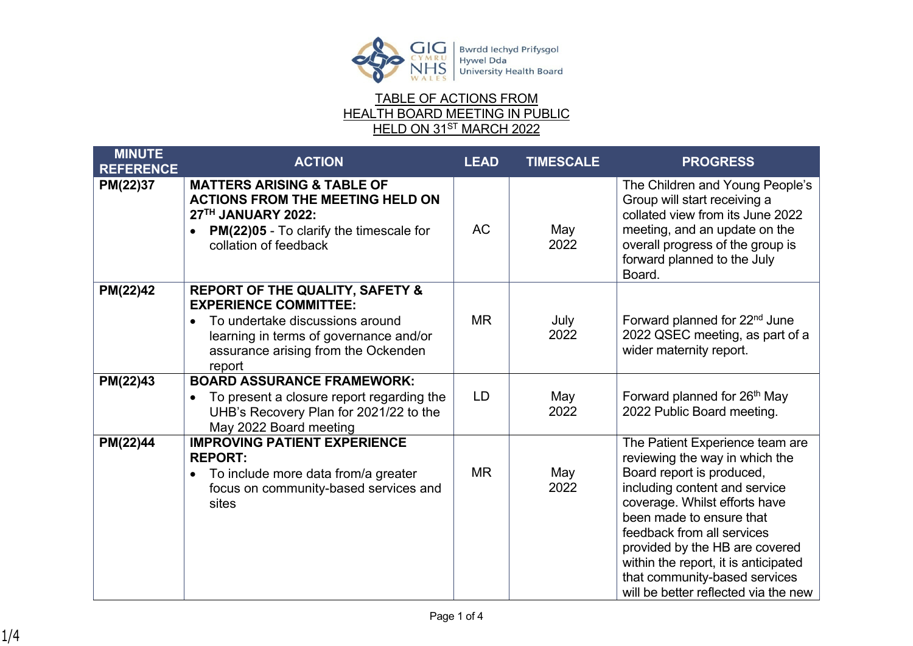

## TABLE OF ACTIONS FROM HEALTH BOARD MEETING IN PUBLIC <u>HELD ON 31<sup>ST</sup> MARCH 2022</u>

| <b>MINUTE</b><br><b>REFERENCE</b> | <b>ACTION</b>                                                                                                                                                                                                         | <b>LEAD</b> | <b>TIMESCALE</b> | <b>PROGRESS</b>                                                                                                                                                                                                                                                                                                                                                               |
|-----------------------------------|-----------------------------------------------------------------------------------------------------------------------------------------------------------------------------------------------------------------------|-------------|------------------|-------------------------------------------------------------------------------------------------------------------------------------------------------------------------------------------------------------------------------------------------------------------------------------------------------------------------------------------------------------------------------|
| PM(22)37                          | <b>MATTERS ARISING &amp; TABLE OF</b><br><b>ACTIONS FROM THE MEETING HELD ON</b><br>27TH JANUARY 2022:<br><b>PM(22)05 - To clarify the timescale for</b><br>collation of feedback                                     | <b>AC</b>   | May<br>2022      | The Children and Young People's<br>Group will start receiving a<br>collated view from its June 2022<br>meeting, and an update on the<br>overall progress of the group is<br>forward planned to the July<br>Board.                                                                                                                                                             |
| PM(22)42                          | <b>REPORT OF THE QUALITY, SAFETY &amp;</b><br><b>EXPERIENCE COMMITTEE:</b><br>To undertake discussions around<br>$\bullet$<br>learning in terms of governance and/or<br>assurance arising from the Ockenden<br>report | <b>MR</b>   | July<br>2022     | Forward planned for 22 <sup>nd</sup> June<br>2022 QSEC meeting, as part of a<br>wider maternity report.                                                                                                                                                                                                                                                                       |
| PM(22)43                          | <b>BOARD ASSURANCE FRAMEWORK:</b><br>To present a closure report regarding the<br>$\bullet$<br>UHB's Recovery Plan for 2021/22 to the<br>May 2022 Board meeting                                                       | LD          | May<br>2022      | Forward planned for 26 <sup>th</sup> May<br>2022 Public Board meeting.                                                                                                                                                                                                                                                                                                        |
| PM(22)44                          | <b>IMPROVING PATIENT EXPERIENCE</b><br><b>REPORT:</b><br>To include more data from/a greater<br>focus on community-based services and<br>sites                                                                        | <b>MR</b>   | May<br>2022      | The Patient Experience team are<br>reviewing the way in which the<br>Board report is produced,<br>including content and service<br>coverage. Whilst efforts have<br>been made to ensure that<br>feedback from all services<br>provided by the HB are covered<br>within the report, it is anticipated<br>that community-based services<br>will be better reflected via the new |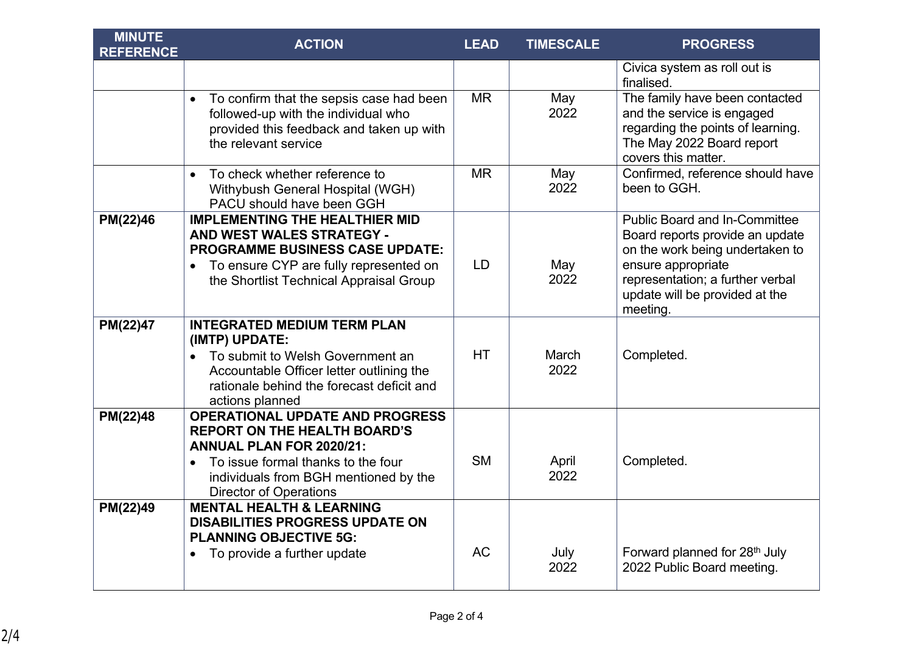| <b>MINUTE</b><br><b>REFERENCE</b> | <b>ACTION</b>                                                                                                                                                                                                                    | <b>LEAD</b> | <b>TIMESCALE</b> | <b>PROGRESS</b>                                                                                                                                                                                                    |
|-----------------------------------|----------------------------------------------------------------------------------------------------------------------------------------------------------------------------------------------------------------------------------|-------------|------------------|--------------------------------------------------------------------------------------------------------------------------------------------------------------------------------------------------------------------|
|                                   |                                                                                                                                                                                                                                  |             |                  | Civica system as roll out is<br>finalised.                                                                                                                                                                         |
|                                   | To confirm that the sepsis case had been<br>$\bullet$<br>followed-up with the individual who<br>provided this feedback and taken up with<br>the relevant service                                                                 | <b>MR</b>   | May<br>2022      | The family have been contacted<br>and the service is engaged<br>regarding the points of learning.<br>The May 2022 Board report<br>covers this matter.                                                              |
|                                   | To check whether reference to<br>$\bullet$<br>Withybush General Hospital (WGH)<br>PACU should have been GGH                                                                                                                      | <b>MR</b>   | May<br>2022      | Confirmed, reference should have<br>been to GGH.                                                                                                                                                                   |
| PM(22)46                          | <b>IMPLEMENTING THE HEALTHIER MID</b><br>AND WEST WALES STRATEGY -<br><b>PROGRAMME BUSINESS CASE UPDATE:</b><br>To ensure CYP are fully represented on<br>$\bullet$<br>the Shortlist Technical Appraisal Group                   | <b>LD</b>   | May<br>2022      | <b>Public Board and In-Committee</b><br>Board reports provide an update<br>on the work being undertaken to<br>ensure appropriate<br>representation; a further verbal<br>update will be provided at the<br>meeting. |
| PM(22)47                          | <b>INTEGRATED MEDIUM TERM PLAN</b><br>(IMTP) UPDATE:<br>To submit to Welsh Government an<br>$\bullet$<br>Accountable Officer letter outlining the<br>rationale behind the forecast deficit and<br>actions planned                | <b>HT</b>   | March<br>2022    | Completed.                                                                                                                                                                                                         |
| PM(22)48                          | <b>OPERATIONAL UPDATE AND PROGRESS</b><br><b>REPORT ON THE HEALTH BOARD'S</b><br><b>ANNUAL PLAN FOR 2020/21:</b><br>To issue formal thanks to the four<br>individuals from BGH mentioned by the<br><b>Director of Operations</b> | <b>SM</b>   | April<br>2022    | Completed.                                                                                                                                                                                                         |
| PM(22)49                          | <b>MENTAL HEALTH &amp; LEARNING</b><br><b>DISABILITIES PROGRESS UPDATE ON</b><br><b>PLANNING OBJECTIVE 5G:</b><br>To provide a further update                                                                                    | <b>AC</b>   | July<br>2022     | Forward planned for 28 <sup>th</sup> July<br>2022 Public Board meeting.                                                                                                                                            |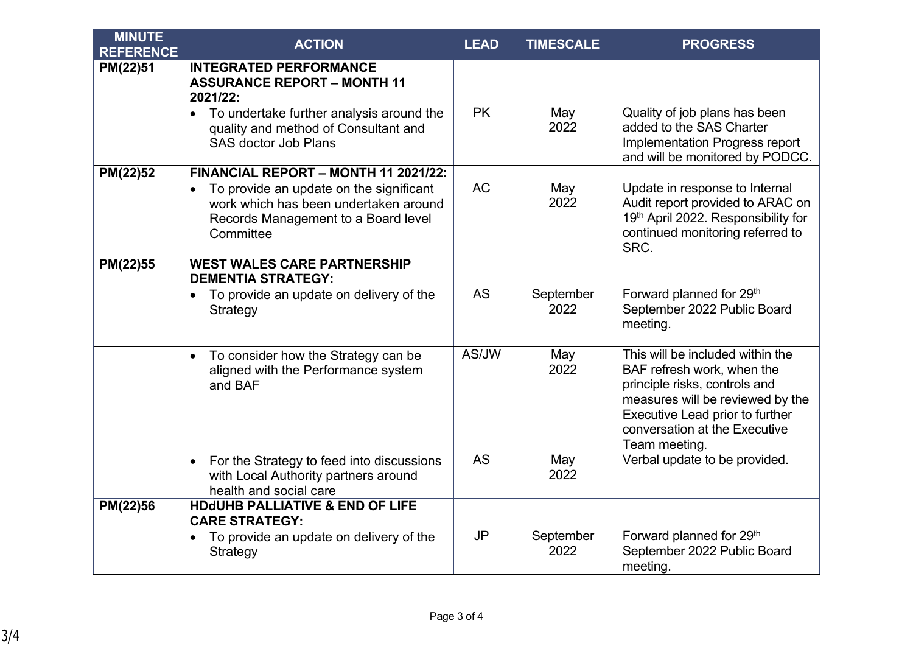| <b>MINUTE</b><br><b>REFERENCE</b> | <b>ACTION</b>                                                                                                                                                                                                   | <b>LEAD</b> | <b>TIMESCALE</b>  | <b>PROGRESS</b>                                                                                                                                                                                                          |
|-----------------------------------|-----------------------------------------------------------------------------------------------------------------------------------------------------------------------------------------------------------------|-------------|-------------------|--------------------------------------------------------------------------------------------------------------------------------------------------------------------------------------------------------------------------|
| PM(22)51                          | <b>INTEGRATED PERFORMANCE</b><br><b>ASSURANCE REPORT - MONTH 11</b><br>2021/22:<br>To undertake further analysis around the<br>$\bullet$<br>quality and method of Consultant and<br><b>SAS doctor Job Plans</b> | <b>PK</b>   | May<br>2022       | Quality of job plans has been<br>added to the SAS Charter<br>Implementation Progress report<br>and will be monitored by PODCC.                                                                                           |
| PM(22)52                          | FINANCIAL REPORT - MONTH 11 2021/22:<br>To provide an update on the significant<br>$\bullet$<br>work which has been undertaken around<br>Records Management to a Board level<br>Committee                       | <b>AC</b>   | May<br>2022       | Update in response to Internal<br>Audit report provided to ARAC on<br>19th April 2022. Responsibility for<br>continued monitoring referred to<br>SRC.                                                                    |
| PM(22)55                          | <b>WEST WALES CARE PARTNERSHIP</b><br><b>DEMENTIA STRATEGY:</b><br>To provide an update on delivery of the<br>$\bullet$<br>Strategy                                                                             | <b>AS</b>   | September<br>2022 | Forward planned for 29th<br>September 2022 Public Board<br>meeting.                                                                                                                                                      |
|                                   | To consider how the Strategy can be<br>$\bullet$<br>aligned with the Performance system<br>and BAF                                                                                                              | AS/JW       | May<br>2022       | This will be included within the<br>BAF refresh work, when the<br>principle risks, controls and<br>measures will be reviewed by the<br>Executive Lead prior to further<br>conversation at the Executive<br>Team meeting. |
|                                   | For the Strategy to feed into discussions<br>$\bullet$<br>with Local Authority partners around<br>health and social care                                                                                        | <b>AS</b>   | May<br>2022       | Verbal update to be provided.                                                                                                                                                                                            |
| PM(22)56                          | <b>HDdUHB PALLIATIVE &amp; END OF LIFE</b><br><b>CARE STRATEGY:</b><br>To provide an update on delivery of the<br>Strategy                                                                                      | <b>JP</b>   | September<br>2022 | Forward planned for 29th<br>September 2022 Public Board<br>meeting.                                                                                                                                                      |